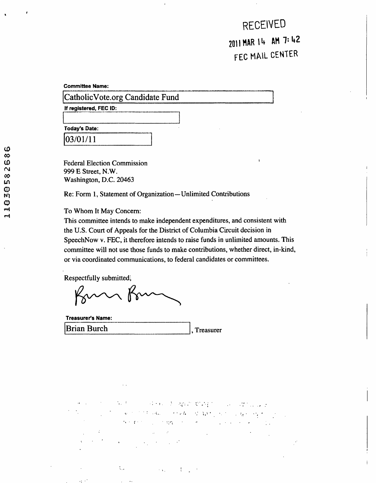**RECEIVED 2011 MAR 14 AM 7:42 FEC MAIL CENTER** 

**Committee Name:** 

CatholicVote.org Candidate Fund

**if registered, FEC ID:** 

**Today's Date:** 

03/01/11

Federal Election Commission 999 E Street, N.W. Washington, D.C. 20463

Re: Form 1, Statement of Organization—Unlimited Contributions

To Whom It May Concern:

This committee intends to make independent expenditures, and consistent with the U.S. Court of Appeals for the District of Columbia Circuit decision in SpeechNow v. FEC, it therefore intends to raise funds in unlimited amounts. This committee will not use those funds to make contributions, whether direct, in-kind, or via coordinated communications, to federal candidates or committees.

Respectfully submitted,

Kom Ko

| <b>Treasurer's Name:</b> |          |
|--------------------------|----------|
|                          |          |
| <b>Brian Burch</b>       |          |
|                          | reasurer |
|                          |          |

アントライル きしぬす 如みだ しゅうせつ والأحرف والمعارف والمتواطنة المتحفظ والمستقار والمتعارف المستحدث والمواطنين  $\mathcal{L}_{\mathcal{A}}$  , where  $\mathcal{L}_{\mathcal{A}}$  and  $\mathcal{L}_{\mathcal{A}}$ 

 $\mathcal{L}_{\rm{max}}$  $\sim \infty$  .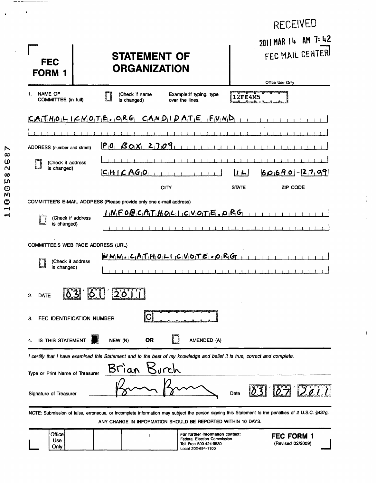| 2011 MAR 14 AM 7:42<br>FEC MAIL CENTER<br><b>STATEMENT OF</b><br><b>FEC</b><br><b>ORGANIZATION</b><br><b>FORM 1</b><br>Office Use Only<br><u> Anne Mense de con</u> di |
|------------------------------------------------------------------------------------------------------------------------------------------------------------------------|
|                                                                                                                                                                        |
| <b>NAME OF</b><br>1.<br>(Check if name<br>Example: If typing, type<br><b>2FE4M5</b>                                                                                    |
| <b>COMMITTEE (in full)</b><br>is changed)<br>over the lines.                                                                                                           |
| $C.A.T.H.O.P.I.C.V.O.T.P.A.P.O.P.G.P.C.A.N.D.I.D.A.T.F.I.F.I N.D$                                                                                                      |
|                                                                                                                                                                        |
| $P_10$ , $B_1O_1X_1$ 2 7 0 9<br>ADDRESS (number and street)                                                                                                            |
| (Check if address                                                                                                                                                      |
| is changed)<br>$ C_1H_1  \subset A_1G_1O_1$<br>$60690 - 2709$<br> J L                                                                                                  |
| CITY<br><b>STATE</b><br>ZIP CODE                                                                                                                                       |
| COMMITTEE'S E-MAIL ADDRESS (Please provide only one e-mail address)                                                                                                    |
| $I_{1}N_{1}F_{1}O_{1}O_{1}C_{1}A_{1}T_{1}H_{1}O_{1}L_{1}I_{1}C_{1}V_{1}O_{1}T_{1}E_{1}$ , $O_{1}R_{1}G_{1}$<br>(Check if address                                       |
| is changed)                                                                                                                                                            |
| <b>COMMITTEE'S WEB PAGE ADDRESS (URL)</b>                                                                                                                              |
| $W_1W_1W_1 \circ C_1A_1T_1H_1O_1L_1C_1V_1O_1T_1E_1 \circ O_1R_1G_1$<br>(Check if address                                                                               |
| is changed)                                                                                                                                                            |
| <b>ALL</b><br>2.<br><b>DATE</b><br><u> PU ZPJ</u>                                                                                                                      |
| FEC IDENTIFICATION NUMBER<br>З.                                                                                                                                        |
| IS THIS STATEMENT<br>NEW (N)<br><b>OR</b><br>AMENDED (A)                                                                                                               |
| I certify that I have examined this Statement and to the best of my knowledge and belief it is true, correct and complete.                                             |
| Brìan<br>Kurch<br>Type or Print Name of Treasurer                                                                                                                      |
| Date<br>Signature of Treasurer                                                                                                                                         |
| NOTE: Submission of false, erroneous, or incomplete information may subject the person signing this Statement to the penalties of 2 U.S.C. §437g.                      |
| ANY CHANGE IN INFORMATION SHOULD BE REPORTED WITHIN 10 DAYS.<br>Office<br>For further information contact:                                                             |

ł  $\ddot{\cdot}$ 

 $\begin{array}{c} \n\cdot & \cdot \\ \n\cdot & \cdot \\ \n\cdot & \cdot \n\end{array}$ 

 $\bar{\mathbf{I}}$ 

 $\begin{array}{c} \n\cdot & \cdot & \cdot \\ \n\cdot & \cdot & \cdot \n\end{array}$ 

 $\frac{1}{1}$ 

 $\frac{1}{1}$ 

 $\bar{1}$ 

|  | <b>Office</b><br><b>Use</b><br>Only |  |  |  |  | (For further information contact:<br>Federal Election Commission<br>Toll Free 800-424-9530<br>Local 202-694-1100 | <b>FEC FORM</b><br>(Revised 02/2009) |  |
|--|-------------------------------------|--|--|--|--|------------------------------------------------------------------------------------------------------------------|--------------------------------------|--|
|--|-------------------------------------|--|--|--|--|------------------------------------------------------------------------------------------------------------------|--------------------------------------|--|

 $\ddot{\phantom{0}}$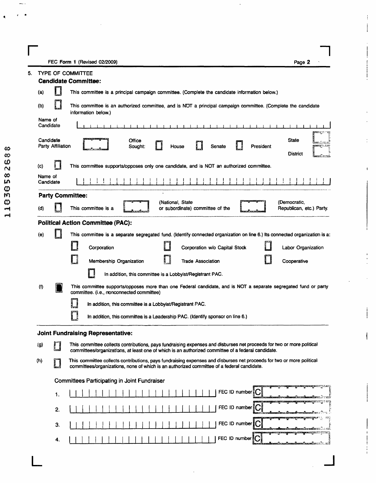**r** FEC Form 1 (Revised 02/2009) **Page 2** 

ł.

 $\mathbf{I}$ 

 $\rightarrow$ 

|                      | <b>TYPE OF COMMITTEE</b>                                  |                                                                                                                                                                                                                             |  |  |  |  |  |
|----------------------|-----------------------------------------------------------|-----------------------------------------------------------------------------------------------------------------------------------------------------------------------------------------------------------------------------|--|--|--|--|--|
|                      |                                                           | <b>Candidate Committee:</b>                                                                                                                                                                                                 |  |  |  |  |  |
| (a)                  |                                                           | This committee is a principal campaign committee. (Complete the candidate information below.)                                                                                                                               |  |  |  |  |  |
| (b)                  |                                                           | This committee is an authorized committee, and is NOT a principal campaign committee. (Complete the candidate<br>information below.)                                                                                        |  |  |  |  |  |
| Name of<br>Candidate |                                                           |                                                                                                                                                                                                                             |  |  |  |  |  |
| Candidate            | Party Affiliation                                         | <b>State</b><br>Office<br>Senate<br>President<br>Sought:<br>House<br><b>District</b>                                                                                                                                        |  |  |  |  |  |
| $\left( c \right)$   |                                                           | This committee supports/opposes only one candidate, and is NOT an authorized committee.                                                                                                                                     |  |  |  |  |  |
| Name of<br>Candidate |                                                           |                                                                                                                                                                                                                             |  |  |  |  |  |
|                      |                                                           | <b>Party Committee:</b>                                                                                                                                                                                                     |  |  |  |  |  |
| (d)                  |                                                           | (Democratic,<br>(National, State<br>This committee is a<br>Republican, etc.) Party.<br>or subordinate) committee of the                                                                                                     |  |  |  |  |  |
|                      |                                                           | <b>Political Action Committee (PAC):</b>                                                                                                                                                                                    |  |  |  |  |  |
| (e)                  |                                                           | This committee is a separate segregated fund. (Identify connected organization on line 6.) Its connected organization is a:                                                                                                 |  |  |  |  |  |
|                      |                                                           | Corporation<br>Corporation w/o Capital Stock<br>Labor Organization                                                                                                                                                          |  |  |  |  |  |
|                      |                                                           | Ľ<br>Membership Organization<br><b>Trade Association</b><br>Cooperative                                                                                                                                                     |  |  |  |  |  |
|                      |                                                           | In addition, this committee is a Lobbyist/Registrant PAC.                                                                                                                                                                   |  |  |  |  |  |
| (1)                  |                                                           | This committee supports/opposes more than one Federal candidate, and is NOT a separate segregated fund or party<br>committee. (i.e., nonconnected committee)                                                                |  |  |  |  |  |
|                      | In addition, this committee is a Lobbyist/Registrant PAC. |                                                                                                                                                                                                                             |  |  |  |  |  |
|                      |                                                           | In addition, this committee is a Leadership PAC. (Identify sponsor on line 6.)                                                                                                                                              |  |  |  |  |  |
|                      |                                                           | <b>Joint Fundraising Representative:</b>                                                                                                                                                                                    |  |  |  |  |  |
| (g)                  | $\Box$                                                    | This committee collects contributions, pays fundraising expenses and disburses net proceeds for two or more political<br>committees/organizations, at least one of which is an authorized committee of a federal candidate. |  |  |  |  |  |
| (h)                  |                                                           | This committee collects contributions, pays fundraising expenses and disburses net proceeds for two or more political<br>committees/organizations, none of which is an authorized committee of a federal candidate.         |  |  |  |  |  |
|                      |                                                           | Committees Participating in Joint Fundraiser                                                                                                                                                                                |  |  |  |  |  |
|                      | 1.                                                        | FEC ID number                                                                                                                                                                                                               |  |  |  |  |  |
|                      | 2.                                                        | FEC ID number C                                                                                                                                                                                                             |  |  |  |  |  |
|                      | 3.                                                        | FEC ID number                                                                                                                                                                                                               |  |  |  |  |  |
|                      | 4.                                                        | FEC ID number                                                                                                                                                                                                               |  |  |  |  |  |
|                      |                                                           |                                                                                                                                                                                                                             |  |  |  |  |  |

 $\bullet$ 

**L**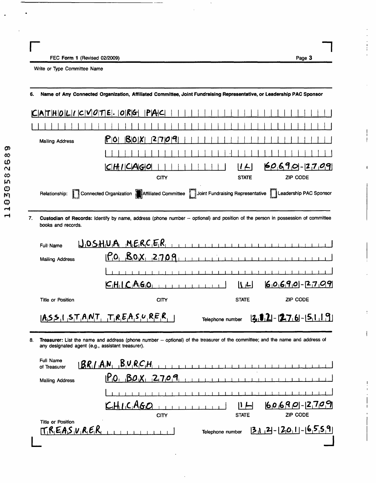| FEC Form 1 (Revised 02/2009) |  |
|------------------------------|--|
|------------------------------|--|

 $\frac{1}{4}$ 

 $\mathbf{I}$ 

 $\mathbf{I}$ 

 $\overline{1}$ 

 $\sf I$ 

Write or Type Committee Name

| 6. |                                                   | Name of Any Connected Organization, Affiliated Committee, Joint Fundraising Representative, or Leadership PAC Sponsor                  |                 |
|----|---------------------------------------------------|----------------------------------------------------------------------------------------------------------------------------------------|-----------------|
|    | $CIAT H O L I C V O T E .  O R G $                | PA C                                                                                                                                   |                 |
|    |                                                   |                                                                                                                                        |                 |
|    | <b>Mailing Address</b>                            | 2 7 0 9<br>$P$ <sub>0</sub><br>B0X                                                                                                     |                 |
|    |                                                   |                                                                                                                                        |                 |
|    |                                                   | C H / CAG O <br>$ I \leftarrow$                                                                                                        | $60690 - 2709$  |
|    |                                                   | CITY<br><b>STATE</b>                                                                                                                   | <b>ZIP CODE</b> |
|    | Relationship:                                     | Connected Organization Affiliated Committee Joint Fundraising Representative Leadership PAC Sponsor                                    |                 |
| 7. | books and records.                                | Custodian of Records: Identify by name, address (phone number -- optional) and position of the person in possession of committee       |                 |
|    | Full Name                                         | $U_1O_5H_1U_1A_1M_1E_1R_1C_1E_1R_1$                                                                                                    |                 |
|    | <b>Mailing Address</b>                            | $P_0$ , $B_0X$ , 2709                                                                                                                  |                 |
|    |                                                   |                                                                                                                                        |                 |
|    |                                                   | CHICAGO<br> I L                                                                                                                        | $60690 - 2709$  |
|    | <b>Title or Position</b>                          | <b>STATE</b><br><b>CITY</b>                                                                                                            | ZIP CODE        |
|    |                                                   | $[A, S, S, I, S, T, A, N, T, T, R, E, A, S, U, R, F, R]$<br>$[2, 1, 2] - [2, 7, 6] - [5, 1, 1, 9]$<br>Telephone number                 |                 |
| 8. | any designated agent (e.g., assistant treasurer). | Treasurer: List the name and address (phone number -- optional) of the treasurer of the committee; and the name and address of         |                 |
|    | Full Name<br>of Treasurer                         | BRI.A.N. B.V.R.C.H.<br>the contract of the contract of the contract of the contract of the contract of the contract of the contract of | .               |
|    | <b>Mailing Address</b>                            | $P_0$ $B_0$ $X_1$ $2709$                                                                                                               |                 |
|    |                                                   |                                                                                                                                        |                 |
|    |                                                   | CHICAGO                                                                                                                                | 60690-2709      |
|    | <b>Title or Position</b>                          | <b>STATE</b><br><b>CITY</b>                                                                                                            | ZIP CODE        |
|    | $T_{1}R_{1}E_{1}A_{2}V_{1}R_{1}E_{1}R_{1}$        | $[3, 2] - [2, 0, 1] - [6, 5, 5, 9]$<br>Telephone number                                                                                |                 |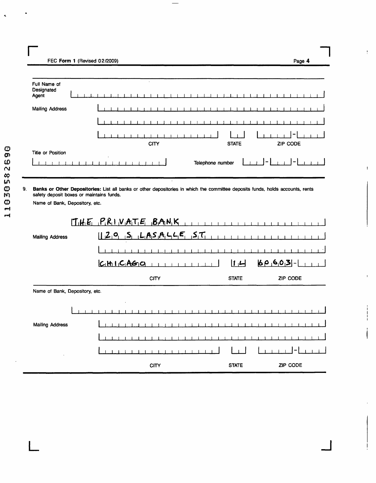**r** FEC Form 1 (Revised 02/2009)

| Full Name of<br>Designated     | $\cdot$                                                                                                                                                                                                                                                                                                                           |                  |          |
|--------------------------------|-----------------------------------------------------------------------------------------------------------------------------------------------------------------------------------------------------------------------------------------------------------------------------------------------------------------------------------|------------------|----------|
| Agent                          |                                                                                                                                                                                                                                                                                                                                   |                  |          |
| <b>Mailing Address</b>         |                                                                                                                                                                                                                                                                                                                                   |                  |          |
|                                | - 1                                                                                                                                                                                                                                                                                                                               |                  |          |
|                                | <b>CITY</b>                                                                                                                                                                                                                                                                                                                       | <b>STATE</b>     | ZIP CODE |
| <b>Title or Position</b>       |                                                                                                                                                                                                                                                                                                                                   |                  |          |
| $\mathbf{I}$                   |                                                                                                                                                                                                                                                                                                                                   | Telephone number |          |
|                                |                                                                                                                                                                                                                                                                                                                                   |                  |          |
| 9.                             | Banks or Other Depositories: List all banks or other depositories in which the committee deposits funds, holds accounts, rents                                                                                                                                                                                                    |                  |          |
|                                | safety deposit boxes or maintains funds.                                                                                                                                                                                                                                                                                          |                  |          |
| Name of Bank, Depository, etc. |                                                                                                                                                                                                                                                                                                                                   |                  |          |
|                                | $[1, H] \subseteq P_1 R_1   V_1 A_1 T_1 E_1   B_1 A_1 N_1 K_1   V_1 A_1 L_1   V_1 A_1   V_1 A_1   V_1 A_1   V_1 A_1   V_1 A_1   V_1 A_1   V_1 A_1   V_1 A_1   V_1 A_1   V_1 A_1   V_1 A_1   V_1 A_1   V_1 A_1   V_1 A_1   V_1 A_1   V_1 A_1   V_1 A_1   V_1 A_1   V_1 A_1   V_1 A_1   V_1 A_1   V_1 A_1   V_1 A_1   V_1 A_1   V_$ | $\sim 1$         |          |
| <b>Mailing Address</b>         | $120$ , $5$ , $185$ , $445$ , $57$                                                                                                                                                                                                                                                                                                |                  |          |
|                                |                                                                                                                                                                                                                                                                                                                                   |                  |          |
|                                | CHIICAGO                                                                                                                                                                                                                                                                                                                          | 1                | 60603    |
|                                | <b>CITY</b>                                                                                                                                                                                                                                                                                                                       | <b>STATE</b>     | ZIP CODE |
| Name of Bank, Depository, etc. |                                                                                                                                                                                                                                                                                                                                   |                  |          |
|                                |                                                                                                                                                                                                                                                                                                                                   |                  |          |
|                                |                                                                                                                                                                                                                                                                                                                                   |                  |          |
|                                |                                                                                                                                                                                                                                                                                                                                   |                  |          |
| <b>Mailing Address</b>         |                                                                                                                                                                                                                                                                                                                                   |                  |          |
|                                |                                                                                                                                                                                                                                                                                                                                   |                  |          |
|                                |                                                                                                                                                                                                                                                                                                                                   |                  |          |

 $\Box$ 

Ţ

 $\mathbf{I}$ 

ŧ

J

Page 4